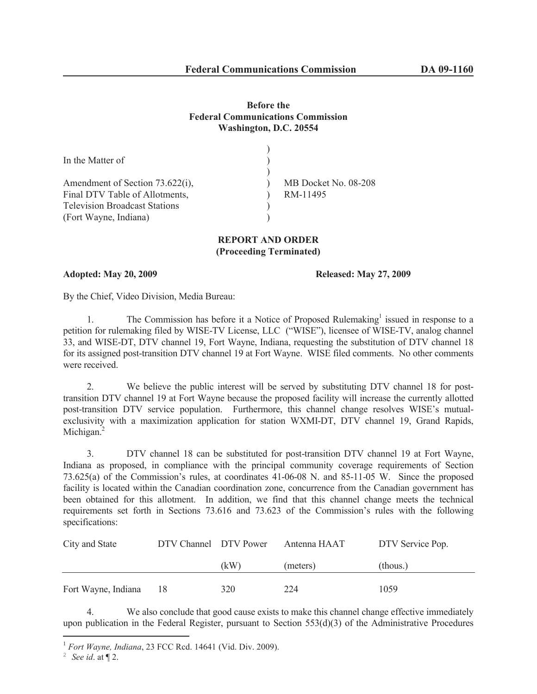## **Before the Federal Communications Commission Washington, D.C. 20554**

| MB Docket No. 08-208 |
|----------------------|
| RM-11495             |
|                      |
|                      |
|                      |

## **REPORT AND ORDER (Proceeding Terminated)**

**Adopted: May 20, 2009 Released: May 27, 2009**

By the Chief, Video Division, Media Bureau:

1. The Commission has before it a Notice of Proposed Rulemaking<sup>1</sup> issued in response to a petition for rulemaking filed by WISE-TV License, LLC ("WISE"), licensee of WISE-TV, analog channel 33, and WISE-DT, DTV channel 19, Fort Wayne, Indiana, requesting the substitution of DTV channel 18 for its assigned post-transition DTV channel 19 at Fort Wayne. WISE filed comments. No other comments were received.

2. We believe the public interest will be served by substituting DTV channel 18 for posttransition DTV channel 19 at Fort Wayne because the proposed facility will increase the currently allotted post-transition DTV service population. Furthermore, this channel change resolves WISE's mutualexclusivity with a maximization application for station WXMI-DT, DTV channel 19, Grand Rapids, Michigan.<sup>2</sup>

3. DTV channel 18 can be substituted for post-transition DTV channel 19 at Fort Wayne, Indiana as proposed, in compliance with the principal community coverage requirements of Section 73.625(a) of the Commission's rules, at coordinates 41-06-08 N. and 85-11-05 W. Since the proposed facility is located within the Canadian coordination zone, concurrence from the Canadian government has been obtained for this allotment. In addition, we find that this channel change meets the technical requirements set forth in Sections 73.616 and 73.623 of the Commission's rules with the following specifications:

| City and State      | DTV Channel DTV Power |      | Antenna HAAT | DTV Service Pop. |
|---------------------|-----------------------|------|--------------|------------------|
|                     |                       | (kW) | (meters)     | (thous.)         |
| Fort Wayne, Indiana | 18                    | 320  | 224          | 1059             |

4. We also conclude that good cause exists to make this channel change effective immediately upon publication in the Federal Register, pursuant to Section  $553(d)(3)$  of the Administrative Procedures

<sup>1</sup> *Fort Wayne, Indiana*, 23 FCC Rcd. 14641 (Vid. Div. 2009).

<sup>&</sup>lt;sup>2</sup> *See id.* at  $\P$  2.